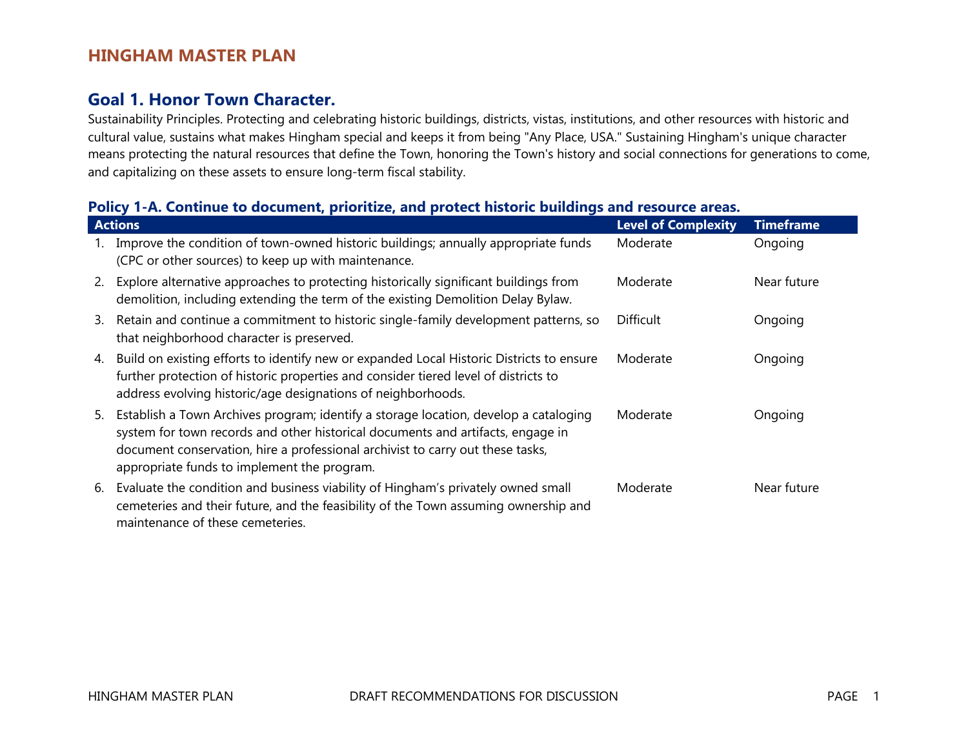### **Goal 1. Honor Town Character.**

Sustainability Principles. Protecting and celebrating historic buildings, districts, vistas, institutions, and other resources with historic and cultural value, sustains what makes Hingham special and keeps it from being "Any Place, USA." Sustaining Hingham's unique character means protecting the natural resources that define the Town, honoring the Town's history and social connections for generations to come, and capitalizing on these assets to ensure long-term fiscal stability.

#### **Policy 1-A. Continue to document, prioritize, and protect historic buildings and resource areas.**

|    | <b>Actions</b>                                                                                                                                                                                                                                                                                           | <b>Level of Complexity</b> | <b>Timeframe</b> |
|----|----------------------------------------------------------------------------------------------------------------------------------------------------------------------------------------------------------------------------------------------------------------------------------------------------------|----------------------------|------------------|
|    | Improve the condition of town-owned historic buildings; annually appropriate funds<br>(CPC or other sources) to keep up with maintenance.                                                                                                                                                                | Moderate                   | Ongoing          |
| 2. | Explore alternative approaches to protecting historically significant buildings from<br>demolition, including extending the term of the existing Demolition Delay Bylaw.                                                                                                                                 | Moderate                   | Near future      |
| 3. | Retain and continue a commitment to historic single-family development patterns, so<br>that neighborhood character is preserved.                                                                                                                                                                         | <b>Difficult</b>           | Ongoing          |
| 4. | Build on existing efforts to identify new or expanded Local Historic Districts to ensure<br>further protection of historic properties and consider tiered level of districts to<br>address evolving historic/age designations of neighborhoods.                                                          | Moderate                   | Ongoing          |
| 5. | Establish a Town Archives program; identify a storage location, develop a cataloging<br>system for town records and other historical documents and artifacts, engage in<br>document conservation, hire a professional archivist to carry out these tasks,<br>appropriate funds to implement the program. | Moderate                   | Ongoing          |
| 6. | Evaluate the condition and business viability of Hingham's privately owned small<br>cemeteries and their future, and the feasibility of the Town assuming ownership and<br>maintenance of these cemeteries.                                                                                              | Moderate                   | Near future      |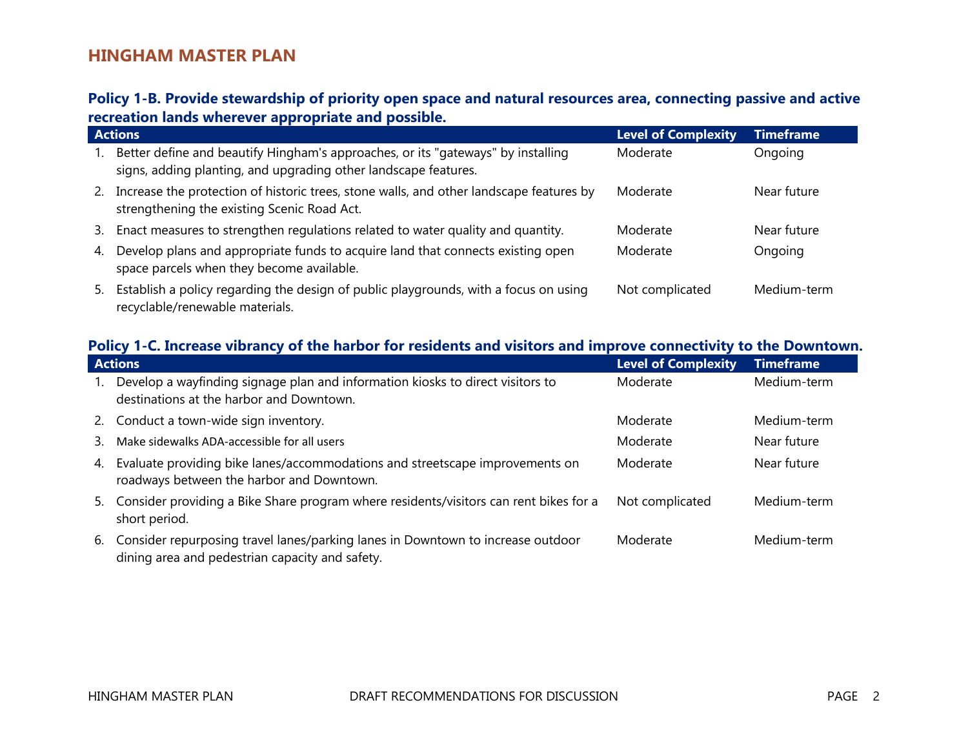### **Policy 1-B. Provide stewardship of priority open space and natural resources area, connecting passive and active recreation lands wherever appropriate and possible.**

|    | <b>Actions</b>                                                                                                                                      | Level of Complexity | <b>Timeframe</b> |
|----|-----------------------------------------------------------------------------------------------------------------------------------------------------|---------------------|------------------|
|    | Better define and beautify Hingham's approaches, or its "gateways" by installing<br>signs, adding planting, and upgrading other landscape features. | Moderate            | Ongoing          |
| 2. | Increase the protection of historic trees, stone walls, and other landscape features by<br>strengthening the existing Scenic Road Act.              | Moderate            | Near future      |
| 3. | Enact measures to strengthen regulations related to water quality and quantity.                                                                     | Moderate            | Near future      |
| 4. | Develop plans and appropriate funds to acquire land that connects existing open<br>space parcels when they become available.                        | Moderate            | Ongoing          |
| 5. | Establish a policy regarding the design of public playgrounds, with a focus on using<br>recyclable/renewable materials.                             | Not complicated     | Medium-term      |

### **Policy 1-C. Increase vibrancy of the harbor for residents and visitors and improve connectivity to the Downtown.**

|    | <b>Actions</b>                                                                                                                        | <b>Level of Complexity</b> | <b>Timeframe</b> |
|----|---------------------------------------------------------------------------------------------------------------------------------------|----------------------------|------------------|
|    | Develop a wayfinding signage plan and information kiosks to direct visitors to<br>destinations at the harbor and Downtown.            | Moderate                   | Medium-term      |
|    | 2. Conduct a town-wide sign inventory.                                                                                                | Moderate                   | Medium-term      |
| 3. | Make sidewalks ADA-accessible for all users                                                                                           | Moderate                   | Near future      |
| 4. | Evaluate providing bike lanes/accommodations and streetscape improvements on<br>roadways between the harbor and Downtown.             | Moderate                   | Near future      |
|    | 5. Consider providing a Bike Share program where residents/visitors can rent bikes for a<br>short period.                             | Not complicated            | Medium-term      |
|    | 6. Consider repurposing travel lanes/parking lanes in Downtown to increase outdoor<br>dining area and pedestrian capacity and safety. | Moderate                   | Medium-term      |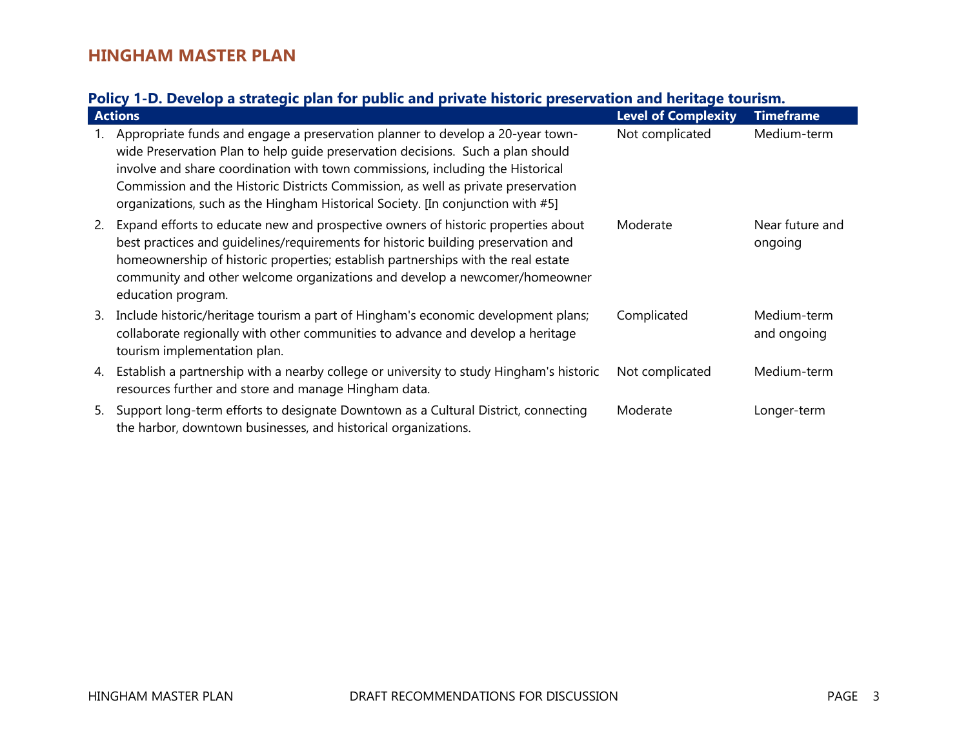# **Policy 1-D. Develop a strategic plan for public and private historic preservation and heritage tourism.**

|    | <b>Actions</b>                                                                                                                                                                                                                                                                                                                                                                                                              | <b>Level of Complexity</b> | <b>Timeframe</b>           |
|----|-----------------------------------------------------------------------------------------------------------------------------------------------------------------------------------------------------------------------------------------------------------------------------------------------------------------------------------------------------------------------------------------------------------------------------|----------------------------|----------------------------|
|    | Appropriate funds and engage a preservation planner to develop a 20-year town-<br>wide Preservation Plan to help guide preservation decisions. Such a plan should<br>involve and share coordination with town commissions, including the Historical<br>Commission and the Historic Districts Commission, as well as private preservation<br>organizations, such as the Hingham Historical Society. [In conjunction with #5] | Not complicated            | Medium-term                |
| 2. | Expand efforts to educate new and prospective owners of historic properties about<br>best practices and quidelines/requirements for historic building preservation and<br>homeownership of historic properties; establish partnerships with the real estate<br>community and other welcome organizations and develop a newcomer/homeowner<br>education program.                                                             | Moderate                   | Near future and<br>ongoing |
| 3. | Include historic/heritage tourism a part of Hingham's economic development plans;<br>collaborate regionally with other communities to advance and develop a heritage<br>tourism implementation plan.                                                                                                                                                                                                                        | Complicated                | Medium-term<br>and ongoing |
| 4. | Establish a partnership with a nearby college or university to study Hingham's historic<br>resources further and store and manage Hingham data.                                                                                                                                                                                                                                                                             | Not complicated            | Medium-term                |
| 5. | Support long-term efforts to designate Downtown as a Cultural District, connecting<br>the harbor, downtown businesses, and historical organizations.                                                                                                                                                                                                                                                                        | Moderate                   | Longer-term                |

 $\mathcal{L}_{\mathcal{A}}$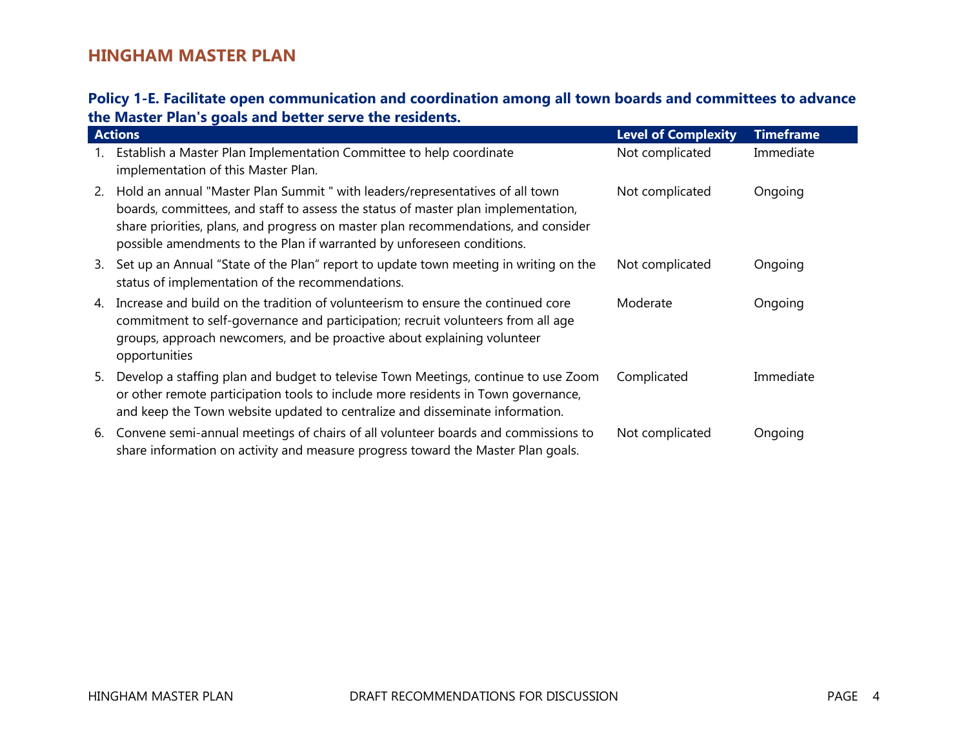### **Policy 1-E. Facilitate open communication and coordination among all town boards and committees to advance the Master Plan's goals and better serve the residents.**

|    | <b>Actions</b>                                                                                                                                                                                                                                                                                                                     | <b>Level of Complexity</b> | <b>Timeframe</b> |
|----|------------------------------------------------------------------------------------------------------------------------------------------------------------------------------------------------------------------------------------------------------------------------------------------------------------------------------------|----------------------------|------------------|
|    | Establish a Master Plan Implementation Committee to help coordinate<br>implementation of this Master Plan.                                                                                                                                                                                                                         | Not complicated            | Immediate        |
| 2. | Hold an annual "Master Plan Summit " with leaders/representatives of all town<br>boards, committees, and staff to assess the status of master plan implementation,<br>share priorities, plans, and progress on master plan recommendations, and consider<br>possible amendments to the Plan if warranted by unforeseen conditions. | Not complicated            | Ongoing          |
| 3. | Set up an Annual "State of the Plan" report to update town meeting in writing on the<br>status of implementation of the recommendations.                                                                                                                                                                                           | Not complicated            | Ongoing          |
| 4. | Increase and build on the tradition of volunteerism to ensure the continued core<br>commitment to self-governance and participation; recruit volunteers from all age<br>groups, approach newcomers, and be proactive about explaining volunteer<br>opportunities                                                                   | Moderate                   | Ongoing          |
| 5. | Develop a staffing plan and budget to televise Town Meetings, continue to use Zoom<br>or other remote participation tools to include more residents in Town governance,<br>and keep the Town website updated to centralize and disseminate information.                                                                            | Complicated                | Immediate        |
| 6. | Convene semi-annual meetings of chairs of all volunteer boards and commissions to<br>share information on activity and measure progress toward the Master Plan goals.                                                                                                                                                              | Not complicated            | Ongoing          |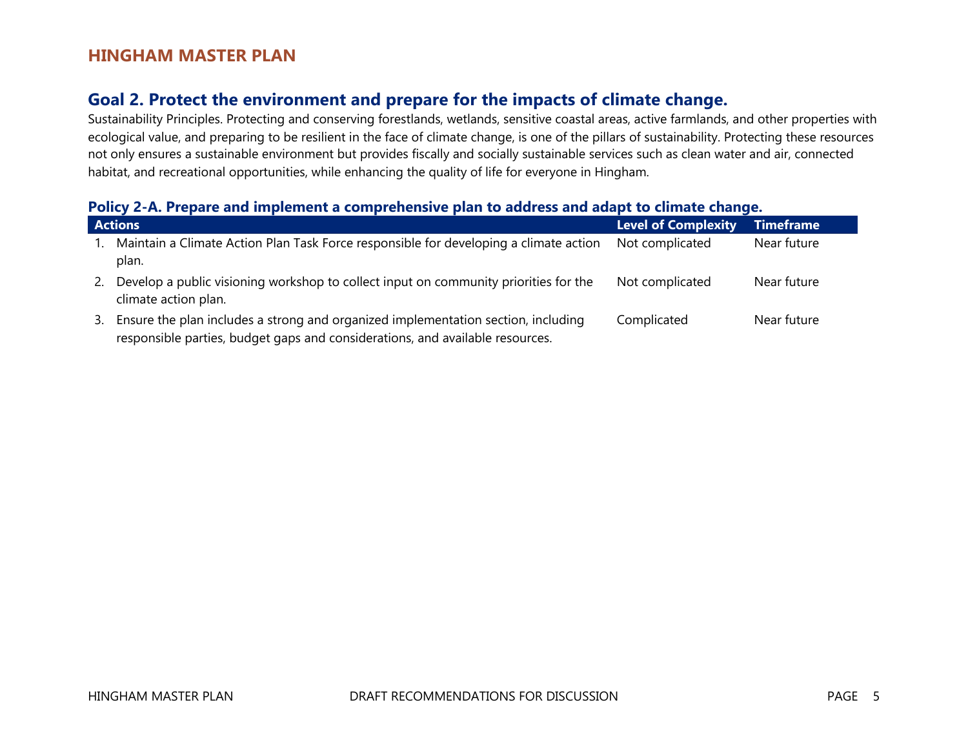# **Goal 2. Protect the environment and prepare for the impacts of climate change.**

Sustainability Principles. Protecting and conserving forestlands, wetlands, sensitive coastal areas, active farmlands, and other properties with ecological value, and preparing to be resilient in the face of climate change, is one of the pillars of sustainability. Protecting these resources not only ensures a sustainable environment but provides fiscally and socially sustainable services such as clean water and air, connected habitat, and recreational opportunities, while enhancing the quality of life for everyone in Hingham.

#### **Policy 2-A. Prepare and implement a comprehensive plan to address and adapt to climate change.**

|    | <b>Actions</b>                                                                                                                                                     | <b>Level of Complexity</b> | Timeframe   |
|----|--------------------------------------------------------------------------------------------------------------------------------------------------------------------|----------------------------|-------------|
|    | Maintain a Climate Action Plan Task Force responsible for developing a climate action<br>plan.                                                                     | Not complicated            | Near future |
| 2. | Develop a public visioning workshop to collect input on community priorities for the<br>climate action plan.                                                       | Not complicated            | Near future |
| 3. | Ensure the plan includes a strong and organized implementation section, including<br>responsible parties, budget gaps and considerations, and available resources. | Complicated                | Near future |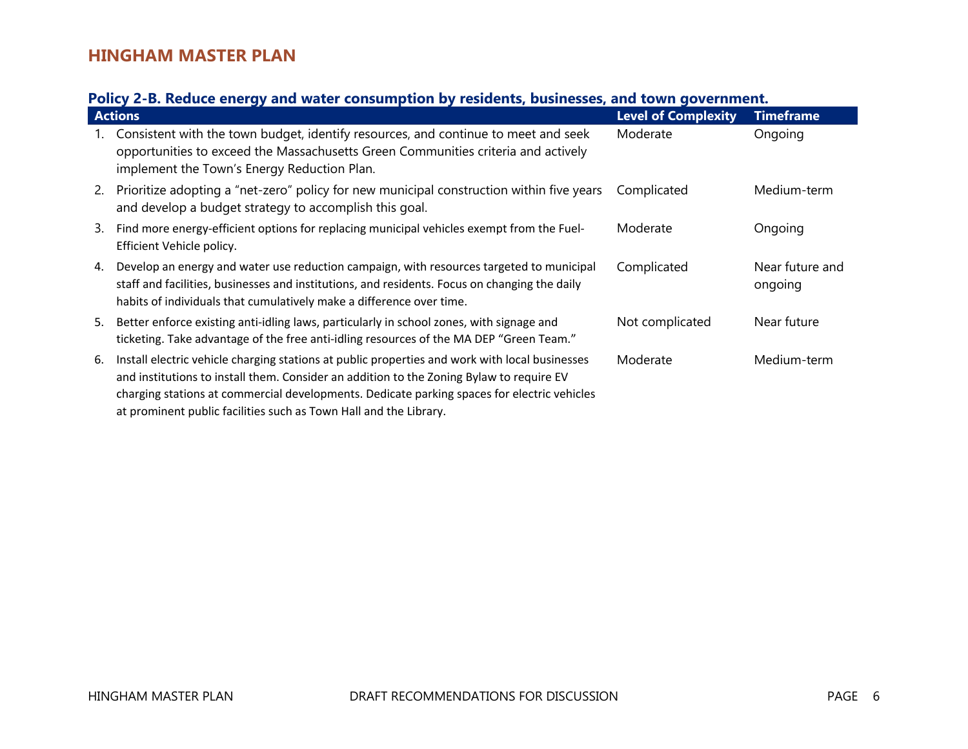### **Policy 2-B. Reduce energy and water consumption by residents, businesses, and town government.**

|    | <b>Actions</b>                                                                                                                                                                                                                                                                                                                                                 | <b>Level of Complexity</b> | <b>Timeframe</b>           |
|----|----------------------------------------------------------------------------------------------------------------------------------------------------------------------------------------------------------------------------------------------------------------------------------------------------------------------------------------------------------------|----------------------------|----------------------------|
|    | Consistent with the town budget, identify resources, and continue to meet and seek<br>opportunities to exceed the Massachusetts Green Communities criteria and actively<br>implement the Town's Energy Reduction Plan.                                                                                                                                         | Moderate                   | Ongoing                    |
| 2. | Prioritize adopting a "net-zero" policy for new municipal construction within five years<br>and develop a budget strategy to accomplish this goal.                                                                                                                                                                                                             | Complicated                | Medium-term                |
| 3. | Find more energy-efficient options for replacing municipal vehicles exempt from the Fuel-<br>Efficient Vehicle policy.                                                                                                                                                                                                                                         | Moderate                   | Ongoing                    |
| 4. | Develop an energy and water use reduction campaign, with resources targeted to municipal<br>staff and facilities, businesses and institutions, and residents. Focus on changing the daily<br>habits of individuals that cumulatively make a difference over time.                                                                                              | Complicated                | Near future and<br>ongoing |
| 5. | Better enforce existing anti-idling laws, particularly in school zones, with signage and<br>ticketing. Take advantage of the free anti-idling resources of the MA DEP "Green Team."                                                                                                                                                                            | Not complicated            | Near future                |
| 6. | Install electric vehicle charging stations at public properties and work with local businesses<br>and institutions to install them. Consider an addition to the Zoning Bylaw to require EV<br>charging stations at commercial developments. Dedicate parking spaces for electric vehicles<br>at prominent public facilities such as Town Hall and the Library. | Moderate                   | Medium-term                |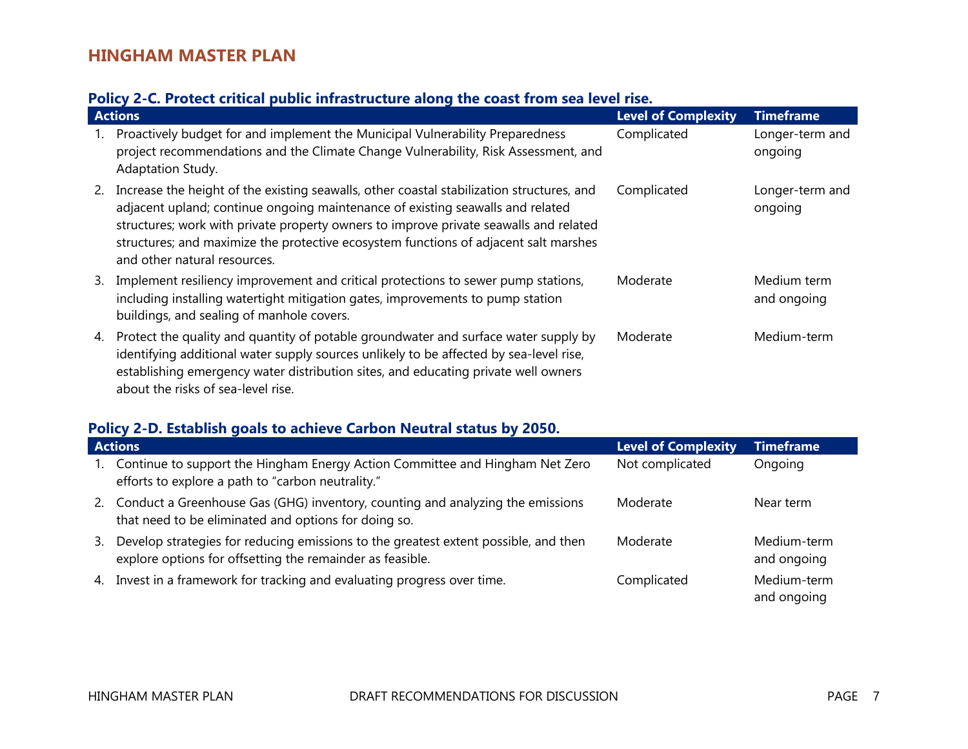### **Policy 2-C. Protect critical public infrastructure along the coast from sea level rise.**

|    | <b>Actions</b>                                                                                                                                                                                                                                                                                                                                                                               | <b>Level of Complexity</b> | <b>Timeframe</b>           |  |
|----|----------------------------------------------------------------------------------------------------------------------------------------------------------------------------------------------------------------------------------------------------------------------------------------------------------------------------------------------------------------------------------------------|----------------------------|----------------------------|--|
| 1. | Proactively budget for and implement the Municipal Vulnerability Preparedness<br>project recommendations and the Climate Change Vulnerability, Risk Assessment, and<br>Adaptation Study.                                                                                                                                                                                                     | Complicated                | Longer-term and<br>ongoing |  |
| 2. | Increase the height of the existing seawalls, other coastal stabilization structures, and<br>adjacent upland; continue ongoing maintenance of existing seawalls and related<br>structures; work with private property owners to improve private seawalls and related<br>structures; and maximize the protective ecosystem functions of adjacent salt marshes<br>and other natural resources. | Complicated                | Longer-term and<br>ongoing |  |
| 3. | Implement resiliency improvement and critical protections to sewer pump stations,<br>including installing watertight mitigation gates, improvements to pump station<br>buildings, and sealing of manhole covers.                                                                                                                                                                             | Moderate                   | Medium term<br>and ongoing |  |
| 4. | Protect the quality and quantity of potable groundwater and surface water supply by<br>identifying additional water supply sources unlikely to be affected by sea-level rise,<br>establishing emergency water distribution sites, and educating private well owners<br>about the risks of sea-level rise.                                                                                    | Moderate                   | Medium-term                |  |

### **Policy 2-D. Establish goals to achieve Carbon Neutral status by 2050.**

|             | <b>Actions</b>                                                                                                                                   | <b>Level of Complexity</b> | <b>Timeframe</b>           |
|-------------|--------------------------------------------------------------------------------------------------------------------------------------------------|----------------------------|----------------------------|
| $1_{\cdot}$ | Continue to support the Hingham Energy Action Committee and Hingham Net Zero<br>efforts to explore a path to "carbon neutrality."                | Not complicated            | Ongoing                    |
|             | 2. Conduct a Greenhouse Gas (GHG) inventory, counting and analyzing the emissions<br>that need to be eliminated and options for doing so.        | Moderate                   | Near term                  |
| 3.          | Develop strategies for reducing emissions to the greatest extent possible, and then<br>explore options for offsetting the remainder as feasible. | Moderate                   | Medium-term<br>and ongoing |
|             | 4. Invest in a framework for tracking and evaluating progress over time.                                                                         | Complicated                | Medium-term<br>and ongoing |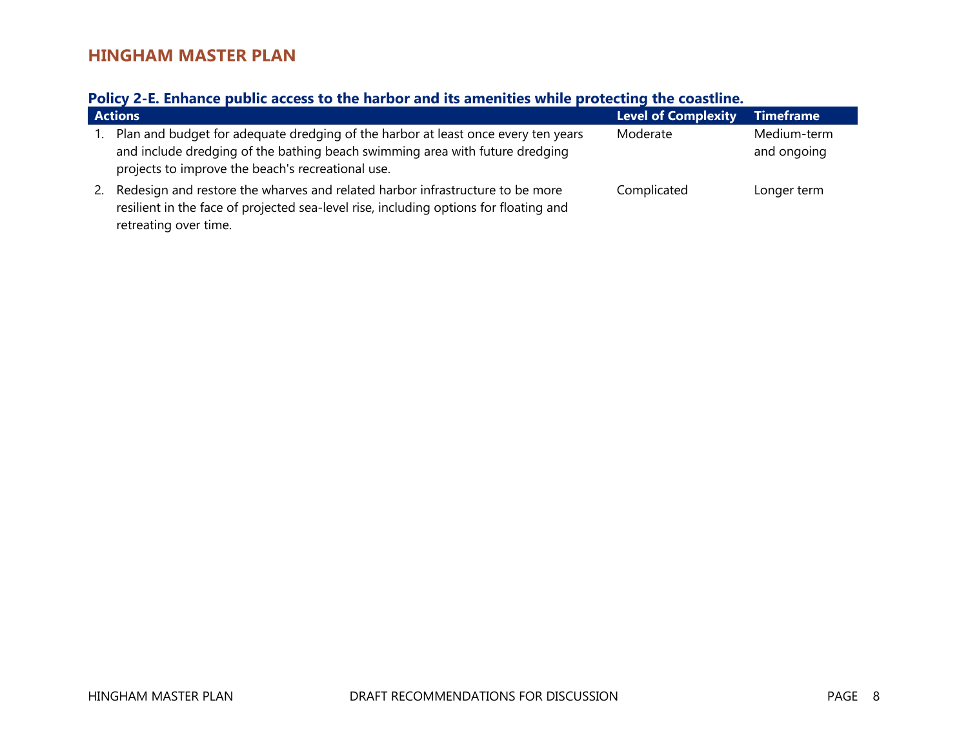### **Policy 2-E. Enhance public access to the harbor and its amenities while protecting the coastline.**

|    | <b>Actions</b>                                                                                                                                                                                                         | <b>Level of Complexity</b> | <b>Timeframe</b>           |
|----|------------------------------------------------------------------------------------------------------------------------------------------------------------------------------------------------------------------------|----------------------------|----------------------------|
|    | Plan and budget for adequate dredging of the harbor at least once every ten years<br>and include dredging of the bathing beach swimming area with future dredging<br>projects to improve the beach's recreational use. | Moderate                   | Medium-term<br>and ongoing |
| 2. | Redesign and restore the wharves and related harbor infrastructure to be more<br>resilient in the face of projected sea-level rise, including options for floating and<br>retreating over time.                        | Complicated                | Longer term                |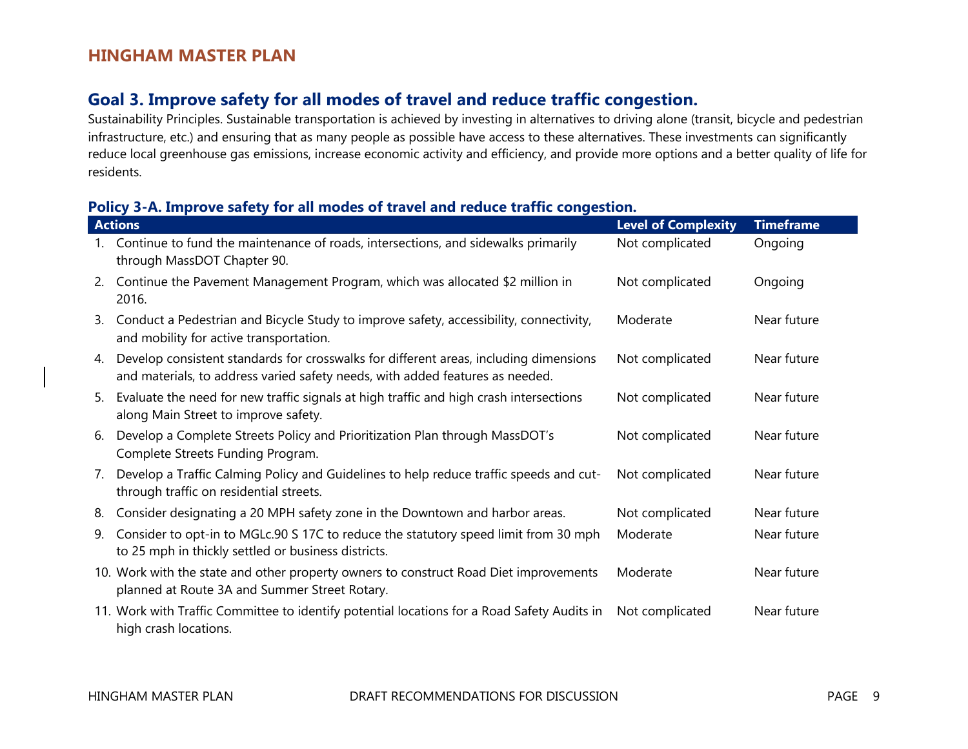### **Goal 3. Improve safety for all modes of travel and reduce traffic congestion.**

Sustainability Principles. Sustainable transportation is achieved by investing in alternatives to driving alone (transit, bicycle and pedestrian infrastructure, etc.) and ensuring that as many people as possible have access to these alternatives. These investments can significantly reduce local greenhouse gas emissions, increase economic activity and efficiency, and provide more options and a better quality of life for residents.

#### **Policy 3-A. Improve safety for all modes of travel and reduce traffic congestion.**

|    | <b>Actions</b>                                                                                                                                                         | <b>Level of Complexity</b> | <b>Timeframe</b> |
|----|------------------------------------------------------------------------------------------------------------------------------------------------------------------------|----------------------------|------------------|
|    | Continue to fund the maintenance of roads, intersections, and sidewalks primarily<br>through MassDOT Chapter 90.                                                       | Not complicated            | Ongoing          |
| 2. | Continue the Pavement Management Program, which was allocated \$2 million in<br>2016.                                                                                  | Not complicated            | Ongoing          |
| 3. | Conduct a Pedestrian and Bicycle Study to improve safety, accessibility, connectivity,<br>and mobility for active transportation.                                      | Moderate                   | Near future      |
| 4. | Develop consistent standards for crosswalks for different areas, including dimensions<br>and materials, to address varied safety needs, with added features as needed. | Not complicated            | Near future      |
| 5. | Evaluate the need for new traffic signals at high traffic and high crash intersections<br>along Main Street to improve safety.                                         | Not complicated            | Near future      |
| 6. | Develop a Complete Streets Policy and Prioritization Plan through MassDOT's<br>Complete Streets Funding Program.                                                       | Not complicated            | Near future      |
| 7. | Develop a Traffic Calming Policy and Guidelines to help reduce traffic speeds and cut-<br>through traffic on residential streets.                                      | Not complicated            | Near future      |
| 8. | Consider designating a 20 MPH safety zone in the Downtown and harbor areas.                                                                                            | Not complicated            | Near future      |
| 9. | Consider to opt-in to MGLc.90 S 17C to reduce the statutory speed limit from 30 mph<br>to 25 mph in thickly settled or business districts.                             | Moderate                   | Near future      |
|    | 10. Work with the state and other property owners to construct Road Diet improvements<br>planned at Route 3A and Summer Street Rotary.                                 | Moderate                   | Near future      |
|    | 11. Work with Traffic Committee to identify potential locations for a Road Safety Audits in<br>high crash locations.                                                   | Not complicated            | Near future      |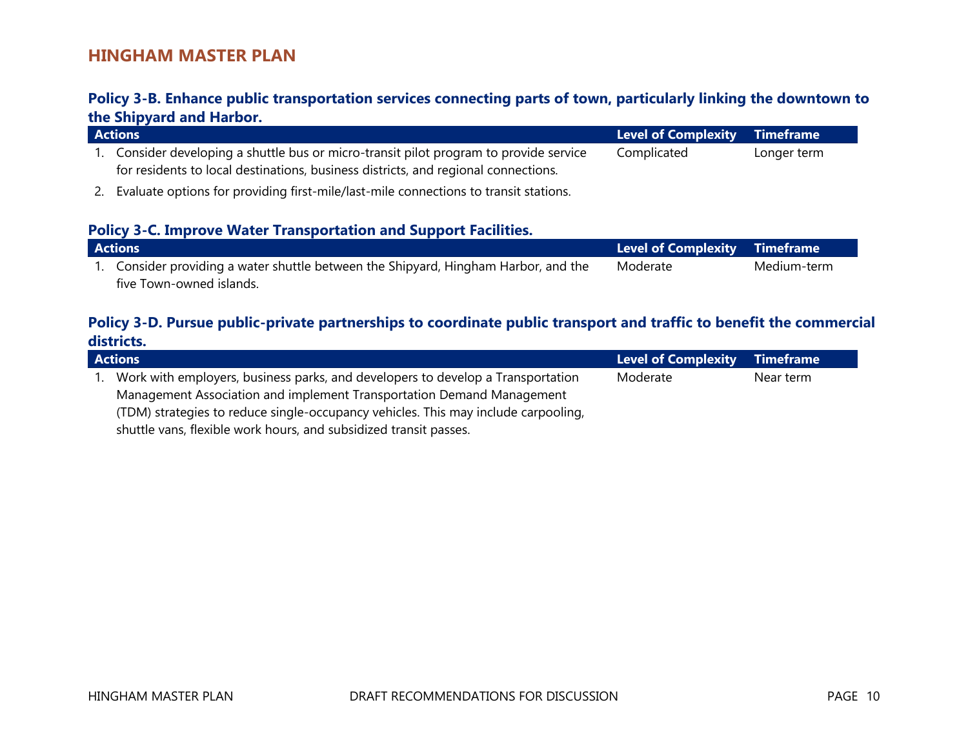#### **Policy 3-B. Enhance public transportation services connecting parts of town, particularly linking the downtown to the Shipyard and Harbor.**

| <b>Actions</b>                                                                                                                                                            | Level of Complexity Timeframe |             |
|---------------------------------------------------------------------------------------------------------------------------------------------------------------------------|-------------------------------|-------------|
| Consider developing a shuttle bus or micro-transit pilot program to provide service<br>for residents to local destinations, business districts, and regional connections. | Complicated                   | Longer term |

2. Evaluate options for providing first-mile/last-mile connections to transit stations.

#### **Policy 3-C. Improve Water Transportation and Support Facilities.**

| <b>Actions</b> |                                                                                     | Level of Complexity Timeframe |             |
|----------------|-------------------------------------------------------------------------------------|-------------------------------|-------------|
|                | 1. Consider providing a water shuttle between the Shipyard, Hingham Harbor, and the | Moderate                      | Medium-term |
|                | five Town-owned islands.                                                            |                               |             |

#### **Policy 3-D. Pursue public-private partnerships to coordinate public transport and traffic to benefit the commercial districts.**

| <b>Actions</b>                                                                     | Level of Complexity Timeframe |           |
|------------------------------------------------------------------------------------|-------------------------------|-----------|
| Work with employers, business parks, and developers to develop a Transportation    | Moderate                      | Near term |
| Management Association and implement Transportation Demand Management              |                               |           |
| (TDM) strategies to reduce single-occupancy vehicles. This may include carpooling, |                               |           |
| shuttle vans, flexible work hours, and subsidized transit passes.                  |                               |           |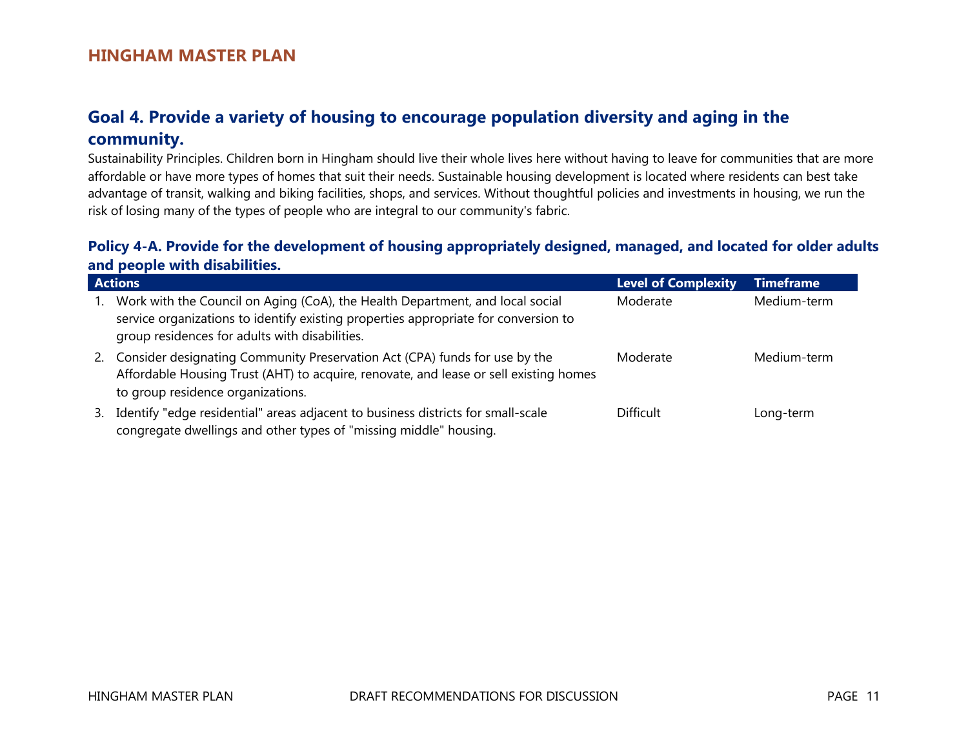# **Goal 4. Provide a variety of housing to encourage population diversity and aging in the community.**

Sustainability Principles. Children born in Hingham should live their whole lives here without having to leave for communities that are more affordable or have more types of homes that suit their needs. Sustainable housing development is located where residents can best take advantage of transit, walking and biking facilities, shops, and services. Without thoughtful policies and investments in housing, we run the risk of losing many of the types of people who are integral to our community's fabric.

### **Policy 4-A. Provide for the development of housing appropriately designed, managed, and located for older adults and people with disabilities.**

|    | <b>Actions</b>                                                                                                                                                                                                         | <b>Level of Complexity</b> | <b>Timeframe</b> |
|----|------------------------------------------------------------------------------------------------------------------------------------------------------------------------------------------------------------------------|----------------------------|------------------|
|    | Work with the Council on Aging (CoA), the Health Department, and local social<br>service organizations to identify existing properties appropriate for conversion to<br>group residences for adults with disabilities. | Moderate                   | Medium-term      |
| 2. | Consider designating Community Preservation Act (CPA) funds for use by the<br>Affordable Housing Trust (AHT) to acquire, renovate, and lease or sell existing homes<br>to group residence organizations.               | Moderate                   | Medium-term      |
| 3. | Identify "edge residential" areas adjacent to business districts for small-scale<br>congregate dwellings and other types of "missing middle" housing.                                                                  | <b>Difficult</b>           | Long-term        |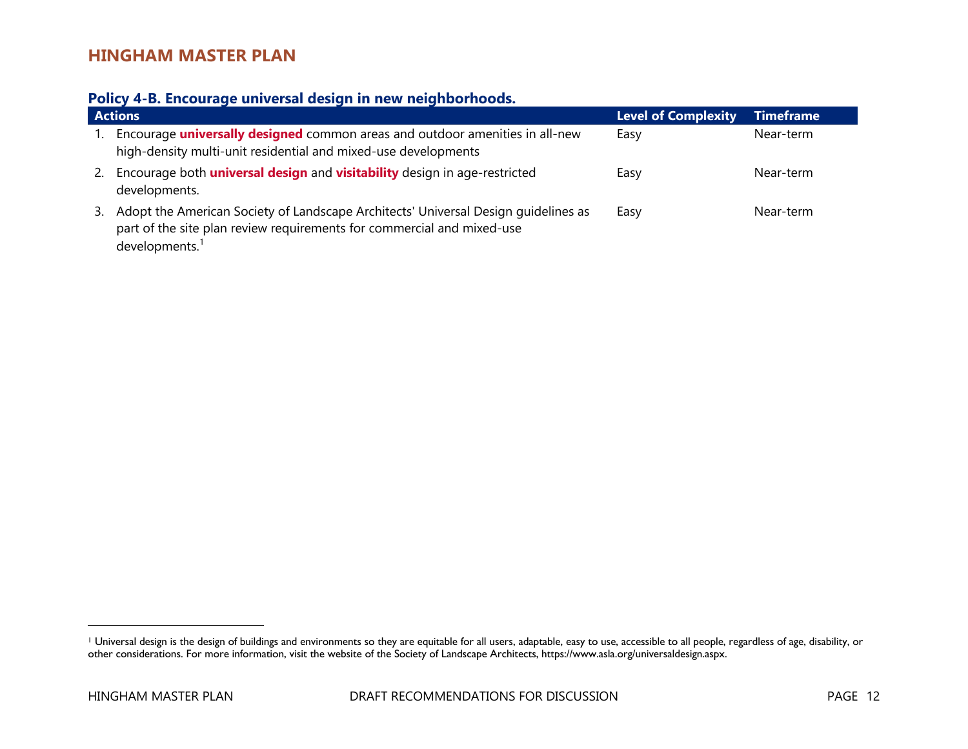#### **Policy 4-B. Encourage universal design in new neighborhoods.**

|    | <b>Actions</b>                                                                                                                                                                             | <b>Level of Complexity</b> | <b>Timeframe</b> |
|----|--------------------------------------------------------------------------------------------------------------------------------------------------------------------------------------------|----------------------------|------------------|
|    | Encourage <b>universally designed</b> common areas and outdoor amenities in all-new<br>high-density multi-unit residential and mixed-use developments                                      | Easy                       | Near-term        |
| 2. | Encourage both <i>universal design</i> and <i>visitability</i> design in age-restricted<br>developments.                                                                                   | Easy                       | Near-term        |
| 3. | Adopt the American Society of Landscape Architects' Universal Design guidelines as<br>part of the site plan review requirements for commercial and mixed-use<br>developments. <sup>1</sup> | Easy                       | Near-term        |

<sup>&</sup>lt;sup>1</sup> Universal design is the design of buildings and environments so they are equitable for all users, adaptable, easy to use, accessible to all people, regardless of age, disability, or other considerations. For more information, visit the website of the Society of Landscape Architects, https://www.asla.org/universaldesign.aspx.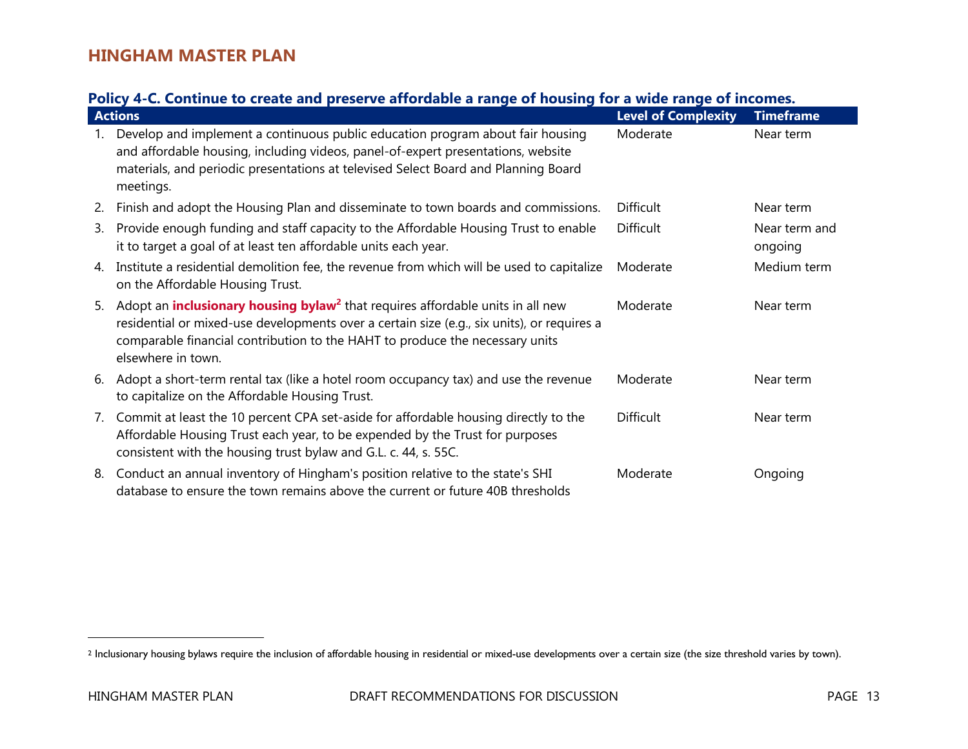### **Policy 4-C. Continue to create and preserve affordable a range of housing for a wide range of incomes.**

|    | <b>Actions</b>                                                                                                                                                                                                                                                                                       | <b>Level of Complexity</b> | <b>Timeframe</b>         |
|----|------------------------------------------------------------------------------------------------------------------------------------------------------------------------------------------------------------------------------------------------------------------------------------------------------|----------------------------|--------------------------|
|    | Develop and implement a continuous public education program about fair housing<br>and affordable housing, including videos, panel-of-expert presentations, website<br>materials, and periodic presentations at televised Select Board and Planning Board<br>meetings.                                | Moderate                   | Near term                |
| 2. | Finish and adopt the Housing Plan and disseminate to town boards and commissions.                                                                                                                                                                                                                    | Difficult                  | Near term                |
| 3. | Provide enough funding and staff capacity to the Affordable Housing Trust to enable<br>it to target a goal of at least ten affordable units each year.                                                                                                                                               | <b>Difficult</b>           | Near term and<br>ongoing |
| 4. | Institute a residential demolition fee, the revenue from which will be used to capitalize<br>on the Affordable Housing Trust.                                                                                                                                                                        | Moderate                   | Medium term              |
| 5. | Adopt an <b>inclusionary housing bylaw<sup>2</sup></b> that requires affordable units in all new<br>residential or mixed-use developments over a certain size (e.g., six units), or requires a<br>comparable financial contribution to the HAHT to produce the necessary units<br>elsewhere in town. | Moderate                   | Near term                |
| 6. | Adopt a short-term rental tax (like a hotel room occupancy tax) and use the revenue<br>to capitalize on the Affordable Housing Trust.                                                                                                                                                                | Moderate                   | Near term                |
| 7. | Commit at least the 10 percent CPA set-aside for affordable housing directly to the<br>Affordable Housing Trust each year, to be expended by the Trust for purposes<br>consistent with the housing trust bylaw and G.L. c. 44, s. 55C.                                                               | <b>Difficult</b>           | Near term                |
| 8. | Conduct an annual inventory of Hingham's position relative to the state's SHI<br>database to ensure the town remains above the current or future 40B thresholds                                                                                                                                      | Moderate                   | Ongoing                  |

<sup>&</sup>lt;sup>2</sup> Inclusionary housing bylaws require the inclusion of affordable housing in residential or mixed-use developments over a certain size (the size threshold varies by town).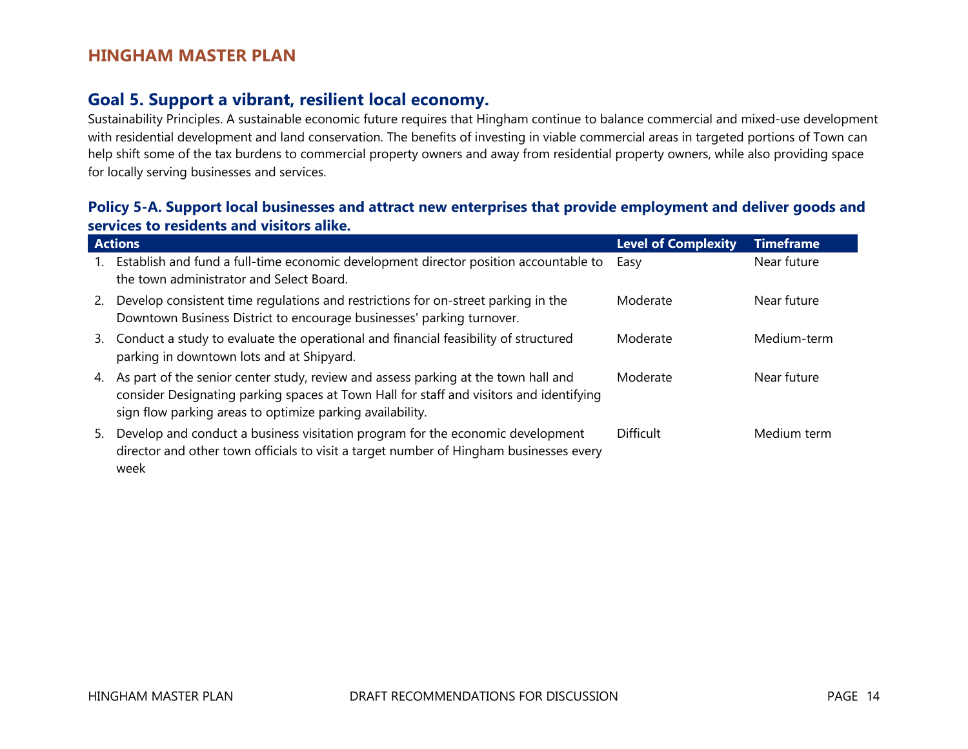### **Goal 5. Support a vibrant, resilient local economy.**

Sustainability Principles. A sustainable economic future requires that Hingham continue to balance commercial and mixed-use development with residential development and land conservation. The benefits of investing in viable commercial areas in targeted portions of Town can help shift some of the tax burdens to commercial property owners and away from residential property owners, while also providing space for locally serving businesses and services.

#### **Policy 5-A. Support local businesses and attract new enterprises that provide employment and deliver goods and services to residents and visitors alike.**

|           | <b>Actions</b>                                                                                                                                                                                                                             | <b>Level of Complexity</b> | <b>Timeframe</b> |
|-----------|--------------------------------------------------------------------------------------------------------------------------------------------------------------------------------------------------------------------------------------------|----------------------------|------------------|
| 1.        | Establish and fund a full-time economic development director position accountable to<br>the town administrator and Select Board.                                                                                                           | Easy                       | Near future      |
| <b>2.</b> | Develop consistent time regulations and restrictions for on-street parking in the<br>Downtown Business District to encourage businesses' parking turnover.                                                                                 | Moderate                   | Near future      |
| 3.        | Conduct a study to evaluate the operational and financial feasibility of structured<br>parking in downtown lots and at Shipyard.                                                                                                           | Moderate                   | Medium-term      |
| 4.        | As part of the senior center study, review and assess parking at the town hall and<br>consider Designating parking spaces at Town Hall for staff and visitors and identifying<br>sign flow parking areas to optimize parking availability. | Moderate                   | Near future      |
| 5.        | Develop and conduct a business visitation program for the economic development<br>director and other town officials to visit a target number of Hingham businesses every<br>week                                                           | <b>Difficult</b>           | Medium term      |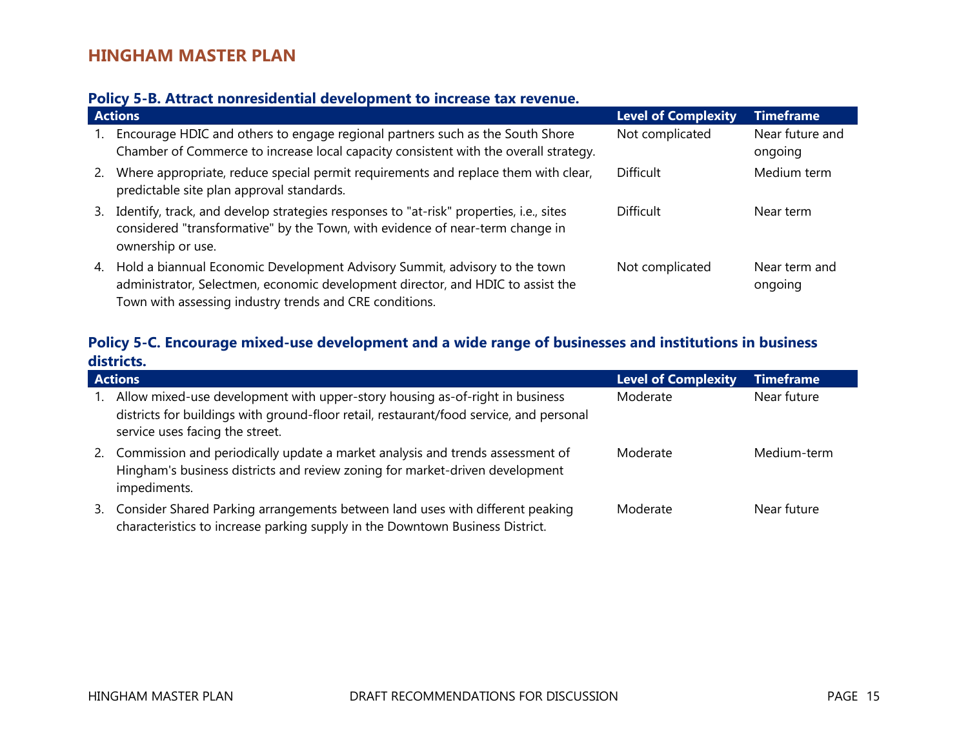#### **Policy 5-B. Attract nonresidential development to increase tax revenue.**

|    | <b>Actions</b>                                                                                                                                                                                                              | <b>Level of Complexity</b> | <b>Timeframe</b>           |
|----|-----------------------------------------------------------------------------------------------------------------------------------------------------------------------------------------------------------------------------|----------------------------|----------------------------|
|    | Encourage HDIC and others to engage regional partners such as the South Shore<br>Chamber of Commerce to increase local capacity consistent with the overall strategy.                                                       | Not complicated            | Near future and<br>ongoing |
| 2. | Where appropriate, reduce special permit requirements and replace them with clear,<br>predictable site plan approval standards.                                                                                             | Difficult                  | Medium term                |
| 3. | Identify, track, and develop strategies responses to "at-risk" properties, i.e., sites<br>considered "transformative" by the Town, with evidence of near-term change in<br>ownership or use.                                | Difficult                  | Near term                  |
|    | 4. Hold a biannual Economic Development Advisory Summit, advisory to the town<br>administrator, Selectmen, economic development director, and HDIC to assist the<br>Town with assessing industry trends and CRE conditions. | Not complicated            | Near term and<br>ongoing   |

### **Policy 5-C. Encourage mixed-use development and a wide range of businesses and institutions in business districts.**

| <b>Actions</b>                                                                                                                                                                                             | <b>Level of Complexity</b> | <b>Timeframe</b> |
|------------------------------------------------------------------------------------------------------------------------------------------------------------------------------------------------------------|----------------------------|------------------|
| Allow mixed-use development with upper-story housing as-of-right in business<br>districts for buildings with ground-floor retail, restaurant/food service, and personal<br>service uses facing the street. | Moderate                   | Near future      |
| Commission and periodically update a market analysis and trends assessment of<br>2.<br>Hingham's business districts and review zoning for market-driven development<br>impediments.                        | Moderate                   | Medium-term      |
| Consider Shared Parking arrangements between land uses with different peaking<br>3.<br>characteristics to increase parking supply in the Downtown Business District.                                       | Moderate                   | Near future      |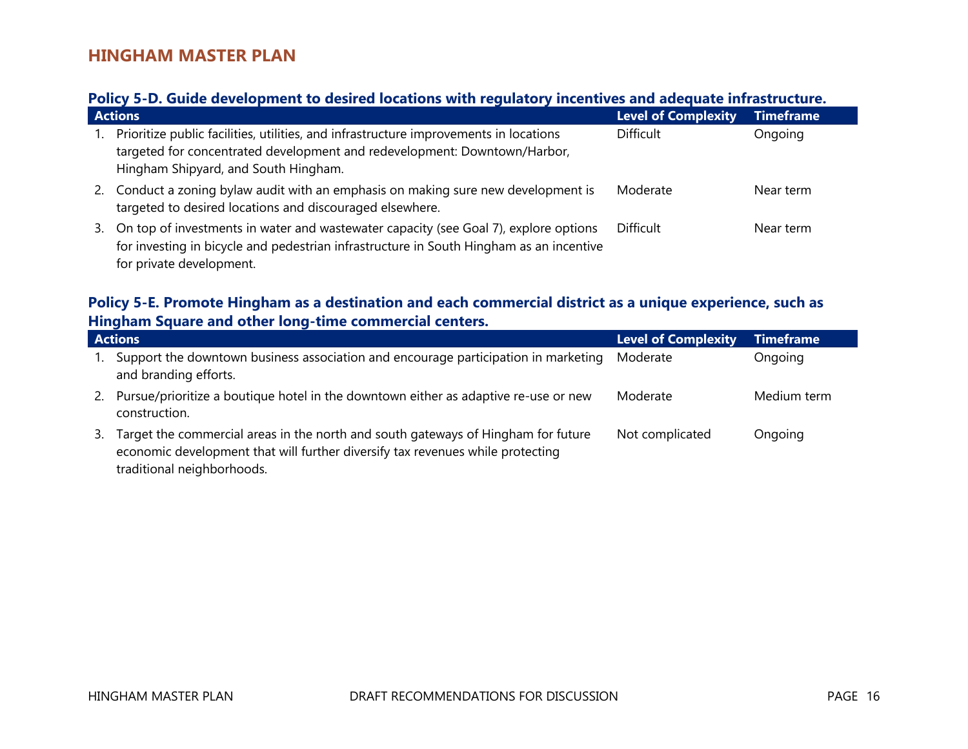# **Policy 5-D. Guide development to desired locations with regulatory incentives and adequate infrastructure.**

|    | <b>Actions</b>                                                                                                                                                                                              | Level of Complexity | <b>Timeframe</b> |  |
|----|-------------------------------------------------------------------------------------------------------------------------------------------------------------------------------------------------------------|---------------------|------------------|--|
| 1. | Prioritize public facilities, utilities, and infrastructure improvements in locations<br>targeted for concentrated development and redevelopment: Downtown/Harbor,<br>Hingham Shipyard, and South Hingham.  | <b>Difficult</b>    | Ongoing          |  |
|    | 2. Conduct a zoning bylaw audit with an emphasis on making sure new development is<br>targeted to desired locations and discouraged elsewhere.                                                              | Moderate            | Near term        |  |
| 3. | On top of investments in water and wastewater capacity (see Goal 7), explore options<br>for investing in bicycle and pedestrian infrastructure in South Hingham as an incentive<br>for private development. | <b>Difficult</b>    | Near term        |  |

### **Policy 5-E. Promote Hingham as a destination and each commercial district as a unique experience, such as Hingham Square and other long-time commercial centers.**

|    | <b>Actions</b>                                                                                                                                                                                    | <b>Level of Complexity</b> | <b>Timeframe</b> |
|----|---------------------------------------------------------------------------------------------------------------------------------------------------------------------------------------------------|----------------------------|------------------|
|    | Support the downtown business association and encourage participation in marketing<br>and branding efforts.                                                                                       | Moderate                   | Ongoing          |
| 2. | Pursue/prioritize a boutique hotel in the downtown either as adaptive re-use or new<br>construction.                                                                                              | Moderate                   | Medium term      |
| 3. | Target the commercial areas in the north and south gateways of Hingham for future<br>economic development that will further diversify tax revenues while protecting<br>traditional neighborhoods. | Not complicated            | Ongoing          |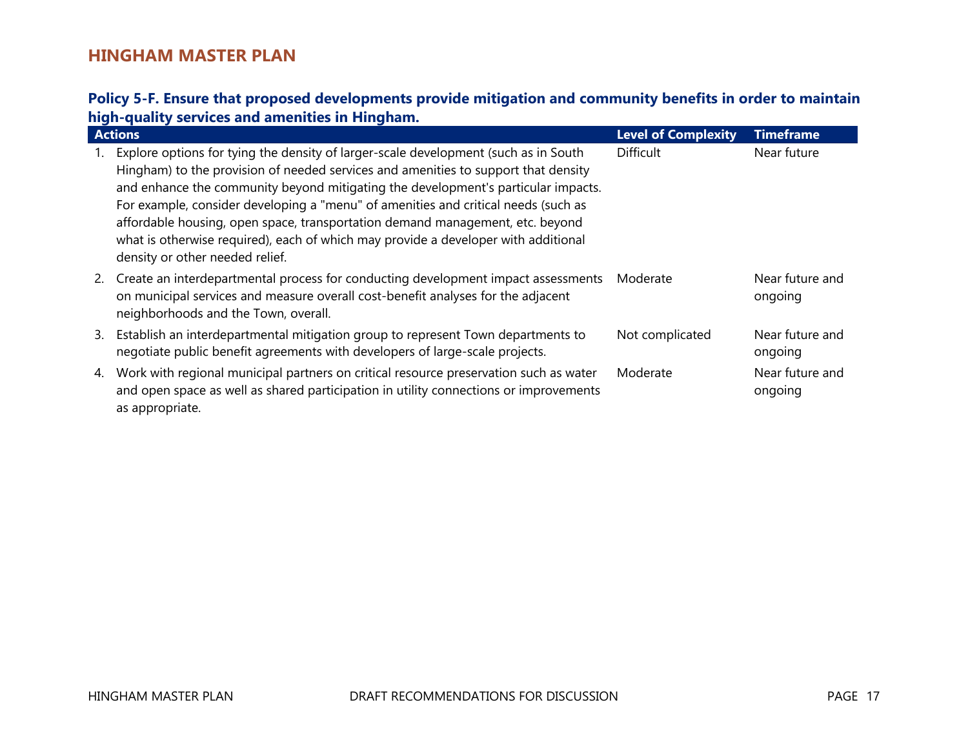### **Policy 5-F. Ensure that proposed developments provide mitigation and community benefits in order to maintain high-quality services and amenities in Hingham.**

|    | <b>Actions</b>                                                                                                                                                                                                                                                                                                                                                                                                                                                                                                                                                 | <b>Level of Complexity</b> | <b>Timeframe</b>           |
|----|----------------------------------------------------------------------------------------------------------------------------------------------------------------------------------------------------------------------------------------------------------------------------------------------------------------------------------------------------------------------------------------------------------------------------------------------------------------------------------------------------------------------------------------------------------------|----------------------------|----------------------------|
|    | Explore options for tying the density of larger-scale development (such as in South<br>Hingham) to the provision of needed services and amenities to support that density<br>and enhance the community beyond mitigating the development's particular impacts.<br>For example, consider developing a "menu" of amenities and critical needs (such as<br>affordable housing, open space, transportation demand management, etc. beyond<br>what is otherwise required), each of which may provide a developer with additional<br>density or other needed relief. | <b>Difficult</b>           | Near future                |
|    | 2. Create an interdepartmental process for conducting development impact assessments<br>on municipal services and measure overall cost-benefit analyses for the adjacent<br>neighborhoods and the Town, overall.                                                                                                                                                                                                                                                                                                                                               | Moderate                   | Near future and<br>ongoing |
| 3. | Establish an interdepartmental mitigation group to represent Town departments to<br>negotiate public benefit agreements with developers of large-scale projects.                                                                                                                                                                                                                                                                                                                                                                                               | Not complicated            | Near future and<br>ongoing |
| 4. | Work with regional municipal partners on critical resource preservation such as water<br>and open space as well as shared participation in utility connections or improvements<br>as appropriate.                                                                                                                                                                                                                                                                                                                                                              | Moderate                   | Near future and<br>ongoing |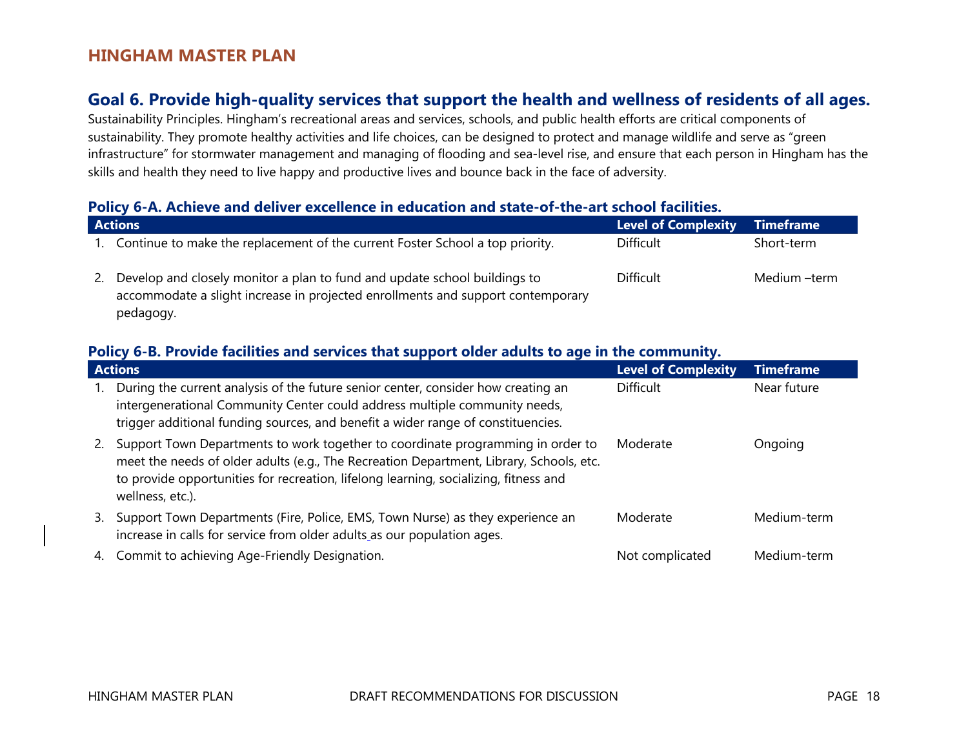# **Goal 6. Provide high-quality services that support the health and wellness of residents of all ages.**

Sustainability Principles. Hingham's recreational areas and services, schools, and public health efforts are critical components of sustainability. They promote healthy activities and life choices, can be designed to protect and manage wildlife and serve as "green infrastructure" for stormwater management and managing of flooding and sea-level rise, and ensure that each person in Hingham has the skills and health they need to live happy and productive lives and bounce back in the face of adversity.

#### **Policy 6-A. Achieve and deliver excellence in education and state-of-the-art school facilities.**

| <b>Actions</b>                                                                                                                                                            | <b>Level of Complexity</b> | Timeframe    |
|---------------------------------------------------------------------------------------------------------------------------------------------------------------------------|----------------------------|--------------|
| Continue to make the replacement of the current Foster School a top priority.                                                                                             | <b>Difficult</b>           | Short-term   |
| Develop and closely monitor a plan to fund and update school buildings to<br>accommodate a slight increase in projected enrollments and support contemporary<br>pedagogy. | <b>Difficult</b>           | Medium –term |

#### **Policy 6-B. Provide facilities and services that support older adults to age in the community.**

| <b>Actions</b>                                                                                                                                                                                                                                                                               | <b>Level of Complexity</b> | <b>Timeframe</b> |  |
|----------------------------------------------------------------------------------------------------------------------------------------------------------------------------------------------------------------------------------------------------------------------------------------------|----------------------------|------------------|--|
| During the current analysis of the future senior center, consider how creating an<br>intergenerational Community Center could address multiple community needs,<br>trigger additional funding sources, and benefit a wider range of constituencies.                                          | <b>Difficult</b>           | Near future      |  |
| Support Town Departments to work together to coordinate programming in order to<br>2.<br>meet the needs of older adults (e.g., The Recreation Department, Library, Schools, etc.<br>to provide opportunities for recreation, lifelong learning, socializing, fitness and<br>wellness, etc.). | Moderate                   | Ongoing          |  |
| Support Town Departments (Fire, Police, EMS, Town Nurse) as they experience an<br>3.<br>increase in calls for service from older adults as our population ages.                                                                                                                              | Moderate                   | Medium-term      |  |
| Commit to achieving Age-Friendly Designation.<br>4.                                                                                                                                                                                                                                          | Not complicated            | Medium-term      |  |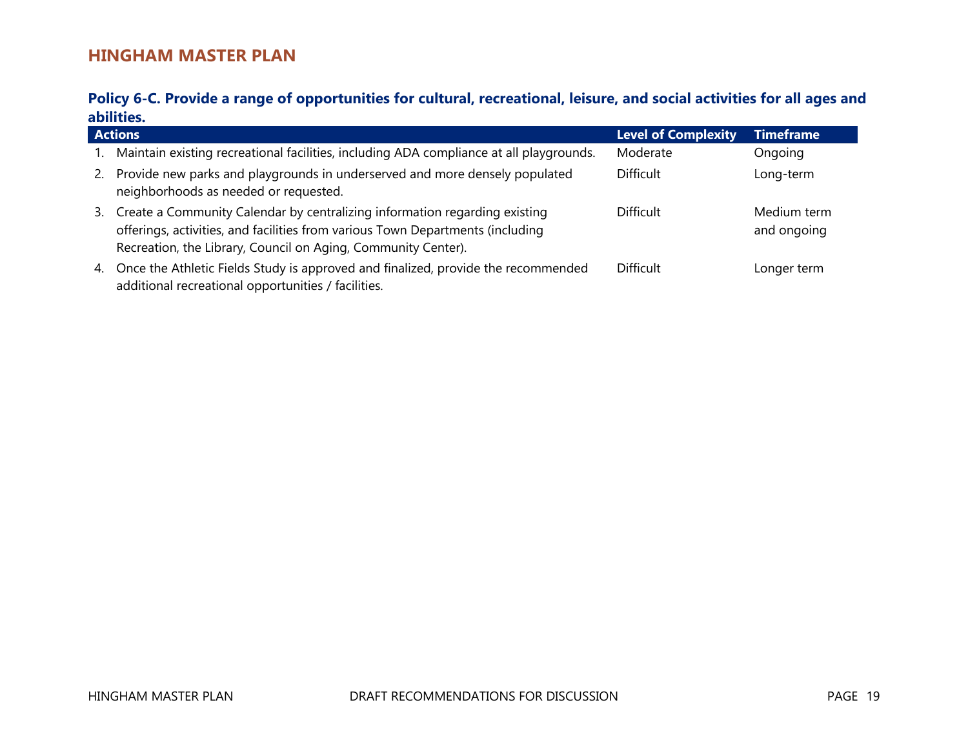### **Policy 6-C. Provide a range of opportunities for cultural, recreational, leisure, and social activities for all ages and abilities.**

|               | <b>Actions</b>                                                                                                                                                                                                                | <b>Level of Complexity</b> | <b>Timeframe</b>           |
|---------------|-------------------------------------------------------------------------------------------------------------------------------------------------------------------------------------------------------------------------------|----------------------------|----------------------------|
|               | Maintain existing recreational facilities, including ADA compliance at all playgrounds.                                                                                                                                       | Moderate                   | Ongoing                    |
| <sup>2.</sup> | Provide new parks and playgrounds in underserved and more densely populated<br>neighborhoods as needed or requested.                                                                                                          | <b>Difficult</b>           | Long-term                  |
| 3.            | Create a Community Calendar by centralizing information regarding existing<br>offerings, activities, and facilities from various Town Departments (including<br>Recreation, the Library, Council on Aging, Community Center). | <b>Difficult</b>           | Medium term<br>and ongoing |
|               | 4. Once the Athletic Fields Study is approved and finalized, provide the recommended<br>additional recreational opportunities / facilities.                                                                                   | <b>Difficult</b>           | Longer term                |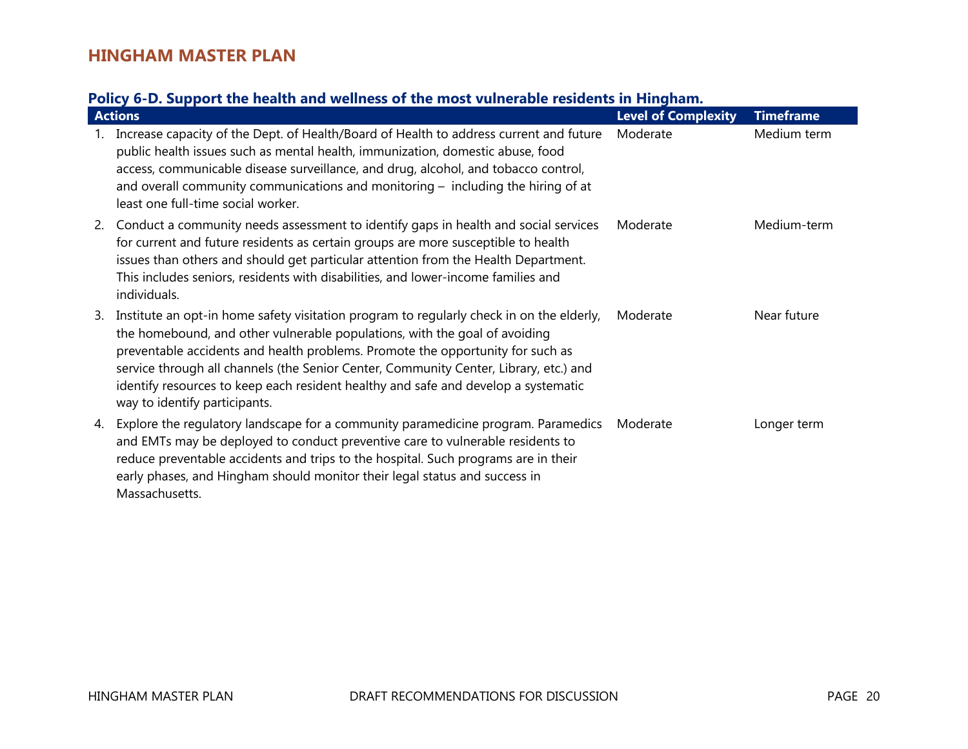# **Policy 6-D. Support the health and wellness of the most vulnerable residents in Hingham.**

|    | <b>Actions</b>                                                                                                                                                                                                                                                                                                                                                                                                                                                           | <b>Level of Complexity</b> | <b>Timeframe</b> |
|----|--------------------------------------------------------------------------------------------------------------------------------------------------------------------------------------------------------------------------------------------------------------------------------------------------------------------------------------------------------------------------------------------------------------------------------------------------------------------------|----------------------------|------------------|
|    | Increase capacity of the Dept. of Health/Board of Health to address current and future<br>public health issues such as mental health, immunization, domestic abuse, food<br>access, communicable disease surveillance, and drug, alcohol, and tobacco control,<br>and overall community communications and monitoring $-$ including the hiring of at<br>least one full-time social worker.                                                                               | Moderate                   | Medium term      |
| 2. | Conduct a community needs assessment to identify gaps in health and social services<br>for current and future residents as certain groups are more susceptible to health<br>issues than others and should get particular attention from the Health Department.<br>This includes seniors, residents with disabilities, and lower-income families and<br>individuals.                                                                                                      | Moderate                   | Medium-term      |
| 3. | Institute an opt-in home safety visitation program to regularly check in on the elderly,<br>the homebound, and other vulnerable populations, with the goal of avoiding<br>preventable accidents and health problems. Promote the opportunity for such as<br>service through all channels (the Senior Center, Community Center, Library, etc.) and<br>identify resources to keep each resident healthy and safe and develop a systematic<br>way to identify participants. | Moderate                   | Near future      |
| 4. | Explore the regulatory landscape for a community paramedicine program. Paramedics<br>and EMTs may be deployed to conduct preventive care to vulnerable residents to<br>reduce preventable accidents and trips to the hospital. Such programs are in their<br>early phases, and Hingham should monitor their legal status and success in<br>Massachusetts.                                                                                                                | Moderate                   | Longer term      |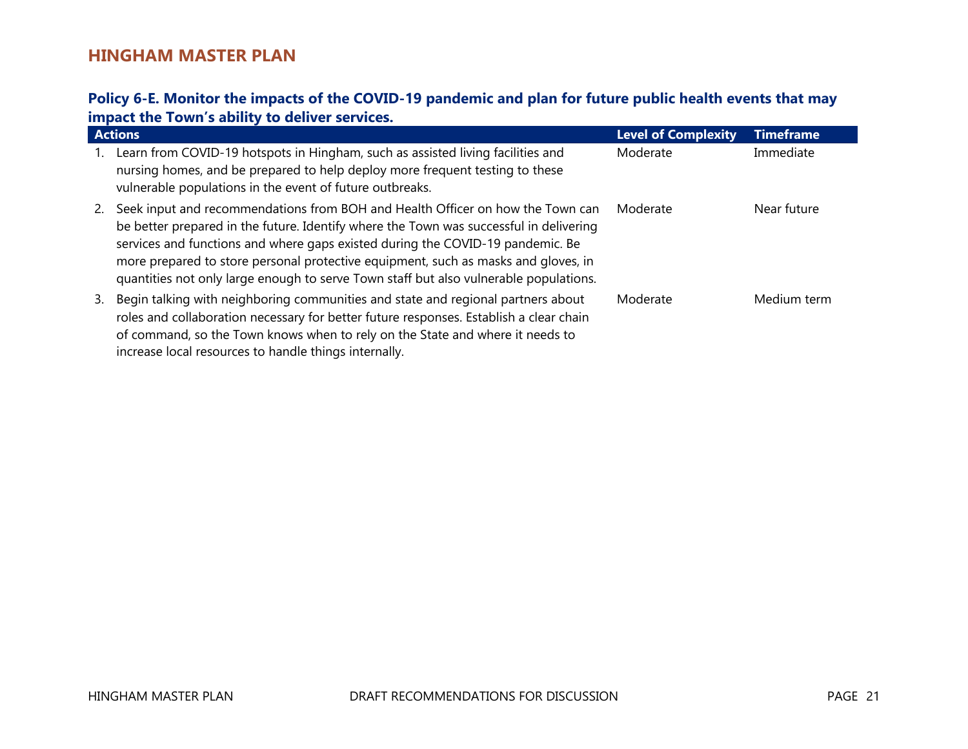### **Policy 6-E. Monitor the impacts of the COVID-19 pandemic and plan for future public health events that may impact the Town's ability to deliver services.**

|           | <b>Actions</b>                                                                                                                                                                                                                                                                                                                                                                                                                            | <b>Level of Complexity</b> | Timeframe   |
|-----------|-------------------------------------------------------------------------------------------------------------------------------------------------------------------------------------------------------------------------------------------------------------------------------------------------------------------------------------------------------------------------------------------------------------------------------------------|----------------------------|-------------|
| 1.        | Learn from COVID-19 hotspots in Hingham, such as assisted living facilities and<br>nursing homes, and be prepared to help deploy more frequent testing to these<br>vulnerable populations in the event of future outbreaks.                                                                                                                                                                                                               | Moderate                   | Immediate   |
| <b>2.</b> | Seek input and recommendations from BOH and Health Officer on how the Town can<br>be better prepared in the future. Identify where the Town was successful in delivering<br>services and functions and where gaps existed during the COVID-19 pandemic. Be<br>more prepared to store personal protective equipment, such as masks and gloves, in<br>quantities not only large enough to serve Town staff but also vulnerable populations. | Moderate                   | Near future |
| 3.        | Begin talking with neighboring communities and state and regional partners about<br>roles and collaboration necessary for better future responses. Establish a clear chain<br>of command, so the Town knows when to rely on the State and where it needs to<br>increase local resources to handle things internally.                                                                                                                      | Moderate                   | Medium term |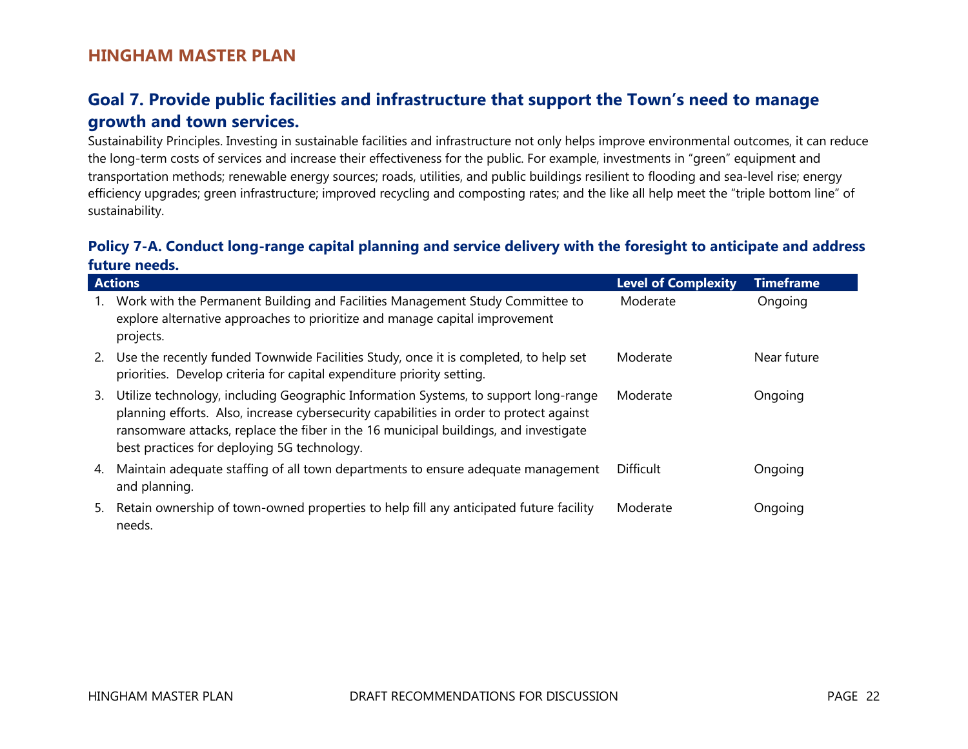# **Goal 7. Provide public facilities and infrastructure that support the Town's need to manage growth and town services.**

Sustainability Principles. Investing in sustainable facilities and infrastructure not only helps improve environmental outcomes, it can reduce the long-term costs of services and increase their effectiveness for the public. For example, investments in "green" equipment and transportation methods; renewable energy sources; roads, utilities, and public buildings resilient to flooding and sea-level rise; energy efficiency upgrades; green infrastructure; improved recycling and composting rates; and the like all help meet the "triple bottom line" of sustainability.

#### **Policy 7-A. Conduct long-range capital planning and service delivery with the foresight to anticipate and address future needs.**

|    | <b>Actions</b>                                                                                                                                                                                                                                                                                                        | <b>Level of Complexity</b> | <b>Timeframe</b> |
|----|-----------------------------------------------------------------------------------------------------------------------------------------------------------------------------------------------------------------------------------------------------------------------------------------------------------------------|----------------------------|------------------|
|    | Work with the Permanent Building and Facilities Management Study Committee to<br>explore alternative approaches to prioritize and manage capital improvement<br>projects.                                                                                                                                             | Moderate                   | Ongoing          |
|    | 2. Use the recently funded Townwide Facilities Study, once it is completed, to help set<br>priorities. Develop criteria for capital expenditure priority setting.                                                                                                                                                     | Moderate                   | Near future      |
| 3. | Utilize technology, including Geographic Information Systems, to support long-range<br>planning efforts. Also, increase cybersecurity capabilities in order to protect against<br>ransomware attacks, replace the fiber in the 16 municipal buildings, and investigate<br>best practices for deploying 5G technology. | Moderate                   | Ongoing          |
| 4. | Maintain adequate staffing of all town departments to ensure adequate management<br>and planning.                                                                                                                                                                                                                     | <b>Difficult</b>           | Ongoing          |
| 5. | Retain ownership of town-owned properties to help fill any anticipated future facility<br>needs.                                                                                                                                                                                                                      | Moderate                   | Ongoing          |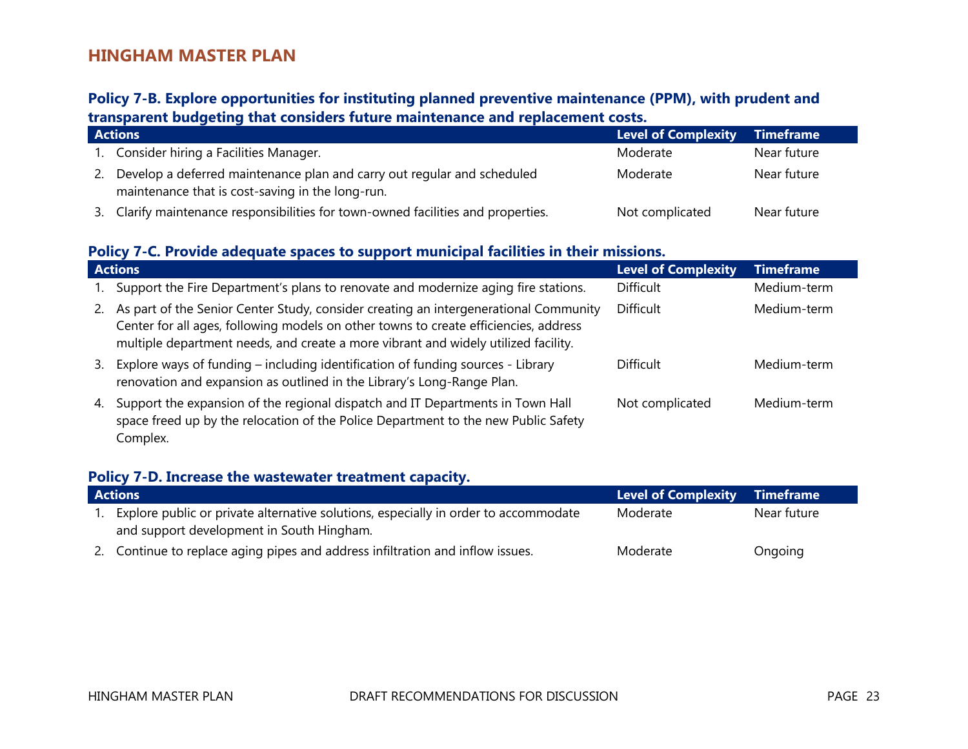### **Policy 7-B. Explore opportunities for instituting planned preventive maintenance (PPM), with prudent and transparent budgeting that considers future maintenance and replacement costs.**

|    | <b>Actions</b>                                                                                                              | <b>Level of Complexity</b> | Timeframe   |
|----|-----------------------------------------------------------------------------------------------------------------------------|----------------------------|-------------|
|    | 1. Consider hiring a Facilities Manager.                                                                                    | Moderate                   | Near future |
| 2. | Develop a deferred maintenance plan and carry out regular and scheduled<br>maintenance that is cost-saving in the long-run. | Moderate                   | Near future |
|    | 3. Clarify maintenance responsibilities for town-owned facilities and properties.                                           | Not complicated            | Near future |

### **Policy 7-C. Provide adequate spaces to support municipal facilities in their missions.**

|    | <b>Actions</b>                                                                                                                                                                                                                                                     | <b>Level of Complexity</b> | <b>Timeframe</b> |  |
|----|--------------------------------------------------------------------------------------------------------------------------------------------------------------------------------------------------------------------------------------------------------------------|----------------------------|------------------|--|
|    | Support the Fire Department's plans to renovate and modernize aging fire stations.                                                                                                                                                                                 | <b>Difficult</b>           | Medium-term      |  |
| 2. | As part of the Senior Center Study, consider creating an intergenerational Community<br>Center for all ages, following models on other towns to create efficiencies, address<br>multiple department needs, and create a more vibrant and widely utilized facility. | <b>Difficult</b>           | Medium-term      |  |
| 3. | Explore ways of funding – including identification of funding sources - Library<br>renovation and expansion as outlined in the Library's Long-Range Plan.                                                                                                          | <b>Difficult</b>           | Medium-term      |  |
| 4. | Support the expansion of the regional dispatch and IT Departments in Town Hall<br>space freed up by the relocation of the Police Department to the new Public Safety<br>Complex.                                                                                   | Not complicated            | Medium-term      |  |

#### **Policy 7-D. Increase the wastewater treatment capacity.**

| <b>Actions</b>                                                                      | Level of Complexity Timeframe |             |
|-------------------------------------------------------------------------------------|-------------------------------|-------------|
| Explore public or private alternative solutions, especially in order to accommodate | Moderate                      | Near future |
| and support development in South Hingham.                                           |                               |             |
| 2. Continue to replace aging pipes and address infiltration and inflow issues.      | Moderate                      | Ongoing     |